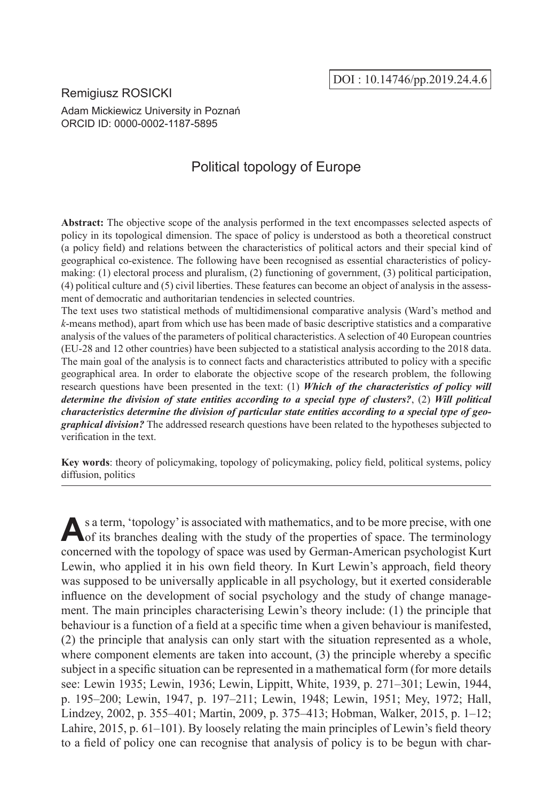## Remigiusz ROSICKI Adam Mickiewicz University in Poznań ORCID ID: 0000-0002-1187-5895

# Political topology of Europe

**Abstract:** The objective scope of the analysis performed in the text encompasses selected aspects of policy in its topological dimension. The space of policy is understood as both a theoretical construct (a policy field) and relations between the characteristics of political actors and their special kind of geographical co-existence. The following have been recognised as essential characteristics of policymaking: (1) electoral process and pluralism, (2) functioning of government, (3) political participation, (4) political culture and (5) civil liberties. These features can become an object of analysis in the assessment of democratic and authoritarian tendencies in selected countries.

The text uses two statistical methods of multidimensional comparative analysis (Ward's method and *k*-means method), apart from which use has been made of basic descriptive statistics and a comparative analysis of the values of the parameters of political characteristics. A selection of 40 European countries (EU-28 and 12 other countries) have been subjected to a statistical analysis according to the 2018 data. The main goal of the analysis is to connect facts and characteristics attributed to policy with a specific geographical area. In order to elaborate the objective scope of the research problem, the following research questions have been presented in the text: (1) *Which of the characteristics of policy will determine the division of state entities according to a special type of clusters?*, (2) *Will political characteristics determine the division of particular state entities according to a special type of geographical division?* The addressed research questions have been related to the hypotheses subjected to verification in the text.

**Key words**: theory of policymaking, topology of policymaking, policy field, political systems, policy diffusion, politics

As a term, 'topology' is associated with mathematics, and to be more precise, with one of its branches dealing with the study of the properties of space. The terminology concerned with the topology of space was used by German-American psychologist Kurt Lewin, who applied it in his own field theory. In Kurt Lewin's approach, field theory was supposed to be universally applicable in all psychology, but it exerted considerable influence on the development of social psychology and the study of change management. The main principles characterising Lewin's theory include: (1) the principle that behaviour is a function of a field at a specific time when a given behaviour is manifested, (2) the principle that analysis can only start with the situation represented as a whole, where component elements are taken into account, (3) the principle whereby a specific subject in a specific situation can be represented in a mathematical form (for more details see: Lewin 1935; Lewin, 1936; Lewin, Lippitt, White, 1939, p. 271–301; Lewin, 1944, p. 195–200; Lewin, 1947, p. 197–211; Lewin, 1948; Lewin, 1951; Mey, 1972; Hall, Lindzey, 2002, p. 355–401; Martin, 2009, p. 375–413; Hobman, Walker, 2015, p. 1–12; Lahire, 2015, p. 61–101). By loosely relating the main principles of Lewin's field theory to a field of policy one can recognise that analysis of policy is to be begun with char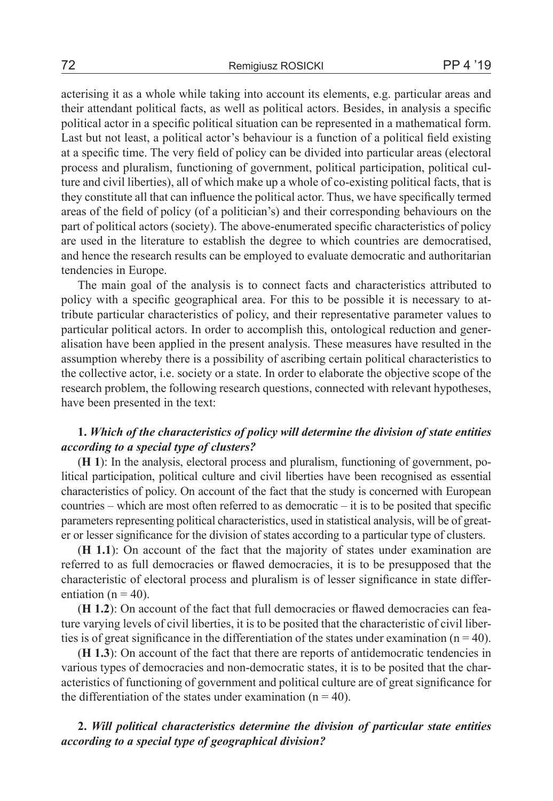acterising it as a whole while taking into account its elements, e.g. particular areas and their attendant political facts, as well as political actors. Besides, in analysis a specific political actor in a specific political situation can be represented in a mathematical form. Last but not least, a political actor's behaviour is a function of a political field existing at a specific time. The very field of policy can be divided into particular areas (electoral process and pluralism, functioning of government, political participation, political culture and civil liberties), all of which make up a whole of co-existing political facts, that is they constitute all that can influence the political actor. Thus, we have specifically termed areas of the field of policy (of a politician's) and their corresponding behaviours on the part of political actors (society). The above-enumerated specific characteristics of policy are used in the literature to establish the degree to which countries are democratised, and hence the research results can be employed to evaluate democratic and authoritarian tendencies in Europe.

The main goal of the analysis is to connect facts and characteristics attributed to policy with a specific geographical area. For this to be possible it is necessary to attribute particular characteristics of policy, and their representative parameter values to particular political actors. In order to accomplish this, ontological reduction and generalisation have been applied in the present analysis. These measures have resulted in the assumption whereby there is a possibility of ascribing certain political characteristics to the collective actor, i.e. society or a state. In order to elaborate the objective scope of the research problem, the following research questions, connected with relevant hypotheses, have been presented in the text:

## **1.** *Which of the characteristics of policy will determine the division of state entities according to a special type of clusters?*

(**H 1**): In the analysis, electoral process and pluralism, functioning of government, political participation, political culture and civil liberties have been recognised as essential characteristics of policy. On account of the fact that the study is concerned with European countries – which are most often referred to as democratic – it is to be posited that specific parameters representing political characteristics, used in statistical analysis, will be of greater or lesser significance for the division of states according to a particular type of clusters.

(**H 1.1**): On account of the fact that the majority of states under examination are referred to as full democracies or flawed democracies, it is to be presupposed that the characteristic of electoral process and pluralism is of lesser significance in state differentiation ( $n = 40$ ).

(**H 1.2**): On account of the fact that full democracies or flawed democracies can feature varying levels of civil liberties, it is to be posited that the characteristic of civil liberties is of great significance in the differentiation of the states under examination ( $n = 40$ ).

(**H 1.3**): On account of the fact that there are reports of antidemocratic tendencies in various types of democracies and non-democratic states, it is to be posited that the characteristics of functioning of government and political culture are of great significance for the differentiation of the states under examination  $(n = 40)$ .

## **2.** *Will political characteristics determine the division of particular state entities according to a special type of geographical division?*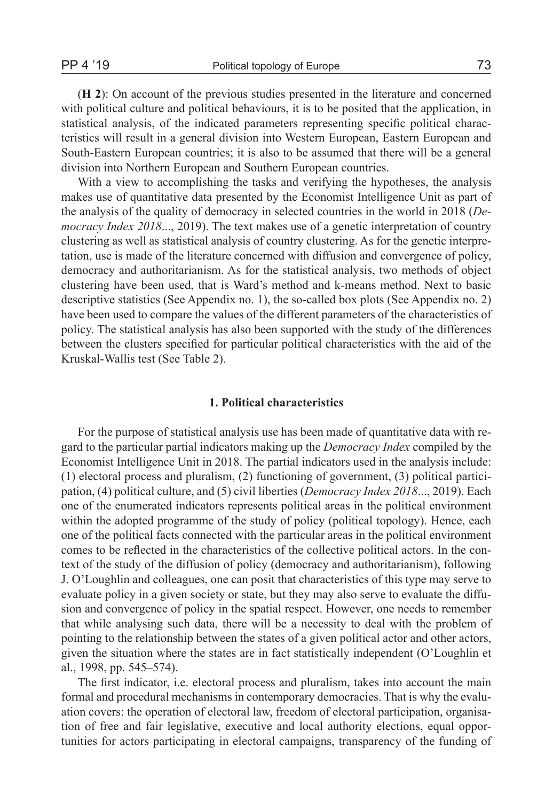(**H 2**): On account of the previous studies presented in the literature and concerned with political culture and political behaviours, it is to be posited that the application, in statistical analysis, of the indicated parameters representing specific political characteristics will result in a general division into Western European, Eastern European and South-Eastern European countries; it is also to be assumed that there will be a general division into Northern European and Southern European countries.

With a view to accomplishing the tasks and verifying the hypotheses, the analysis makes use of quantitative data presented by the Economist Intelligence Unit as part of the analysis of the quality of democracy in selected countries in the world in 2018 (*Democracy Index 2018*..., 2019). The text makes use of a genetic interpretation of country clustering as well as statistical analysis of country clustering. As for the genetic interpretation, use is made of the literature concerned with diffusion and convergence of policy, democracy and authoritarianism. As for the statistical analysis, two methods of object clustering have been used, that is Ward's method and k-means method. Next to basic descriptive statistics (See Appendix no. 1), the so-called box plots (See Appendix no. 2) have been used to compare the values of the different parameters of the characteristics of policy. The statistical analysis has also been supported with the study of the differences between the clusters specified for particular political characteristics with the aid of the Kruskal-Wallis test (See Table 2).

### **1. Political characteristics**

For the purpose of statistical analysis use has been made of quantitative data with regard to the particular partial indicators making up the *Democracy Index* compiled by the Economist Intelligence Unit in 2018. The partial indicators used in the analysis include: (1) electoral process and pluralism, (2) functioning of government, (3) political participation, (4) political culture, and (5) civil liberties (*Democracy Index 2018*..., 2019). Each one of the enumerated indicators represents political areas in the political environment within the adopted programme of the study of policy (political topology). Hence, each one of the political facts connected with the particular areas in the political environment comes to be reflected in the characteristics of the collective political actors. In the context of the study of the diffusion of policy (democracy and authoritarianism), following J. O'Loughlin and colleagues, one can posit that characteristics of this type may serve to evaluate policy in a given society or state, but they may also serve to evaluate the diffusion and convergence of policy in the spatial respect. However, one needs to remember that while analysing such data, there will be a necessity to deal with the problem of pointing to the relationship between the states of a given political actor and other actors, given the situation where the states are in fact statistically independent (O'Loughlin et al., 1998, pp. 545–574).

The first indicator, i.e. electoral process and pluralism, takes into account the main formal and procedural mechanisms in contemporary democracies. That is why the evaluation covers: the operation of electoral law, freedom of electoral participation, organisation of free and fair legislative, executive and local authority elections, equal opportunities for actors participating in electoral campaigns, transparency of the funding of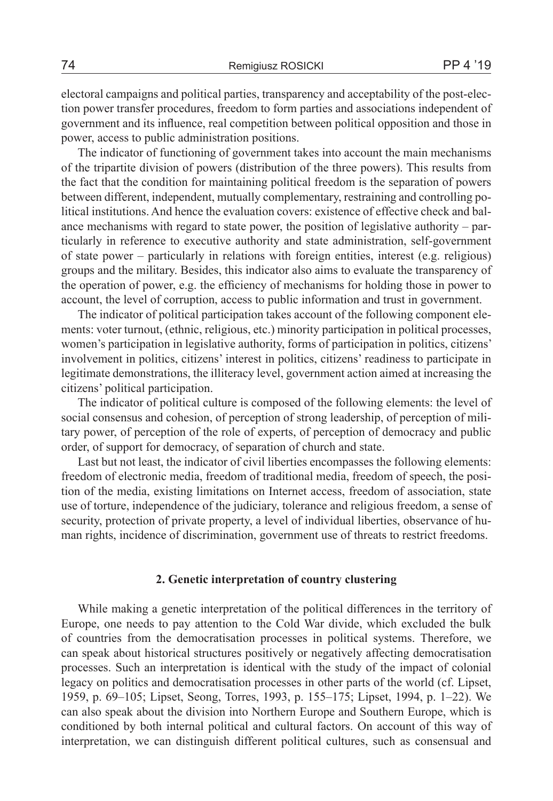electoral campaigns and political parties, transparency and acceptability of the post-election power transfer procedures, freedom to form parties and associations independent of government and its influence, real competition between political opposition and those in power, access to public administration positions.

The indicator of functioning of government takes into account the main mechanisms of the tripartite division of powers (distribution of the three powers). This results from the fact that the condition for maintaining political freedom is the separation of powers between different, independent, mutually complementary, restraining and controlling political institutions. And hence the evaluation covers: existence of effective check and balance mechanisms with regard to state power, the position of legislative authority – particularly in reference to executive authority and state administration, self-government of state power – particularly in relations with foreign entities, interest (e.g. religious) groups and the military. Besides, this indicator also aims to evaluate the transparency of the operation of power, e.g. the efficiency of mechanisms for holding those in power to account, the level of corruption, access to public information and trust in government.

The indicator of political participation takes account of the following component elements: voter turnout, (ethnic, religious, etc.) minority participation in political processes, women's participation in legislative authority, forms of participation in politics, citizens' involvement in politics, citizens' interest in politics, citizens' readiness to participate in legitimate demonstrations, the illiteracy level, government action aimed at increasing the citizens' political participation.

The indicator of political culture is composed of the following elements: the level of social consensus and cohesion, of perception of strong leadership, of perception of military power, of perception of the role of experts, of perception of democracy and public order, of support for democracy, of separation of church and state.

Last but not least, the indicator of civil liberties encompasses the following elements: freedom of electronic media, freedom of traditional media, freedom of speech, the position of the media, existing limitations on Internet access, freedom of association, state use of torture, independence of the judiciary, tolerance and religious freedom, a sense of security, protection of private property, a level of individual liberties, observance of human rights, incidence of discrimination, government use of threats to restrict freedoms.

### **2. Genetic interpretation of country clustering**

While making a genetic interpretation of the political differences in the territory of Europe, one needs to pay attention to the Cold War divide, which excluded the bulk of countries from the democratisation processes in political systems. Therefore, we can speak about historical structures positively or negatively affecting democratisation processes. Such an interpretation is identical with the study of the impact of colonial legacy on politics and democratisation processes in other parts of the world (cf. Lipset, 1959, p. 69–105; Lipset, Seong, Torres, 1993, p. 155–175; Lipset, 1994, p. 1–22). We can also speak about the division into Northern Europe and Southern Europe, which is conditioned by both internal political and cultural factors. On account of this way of interpretation, we can distinguish different political cultures, such as consensual and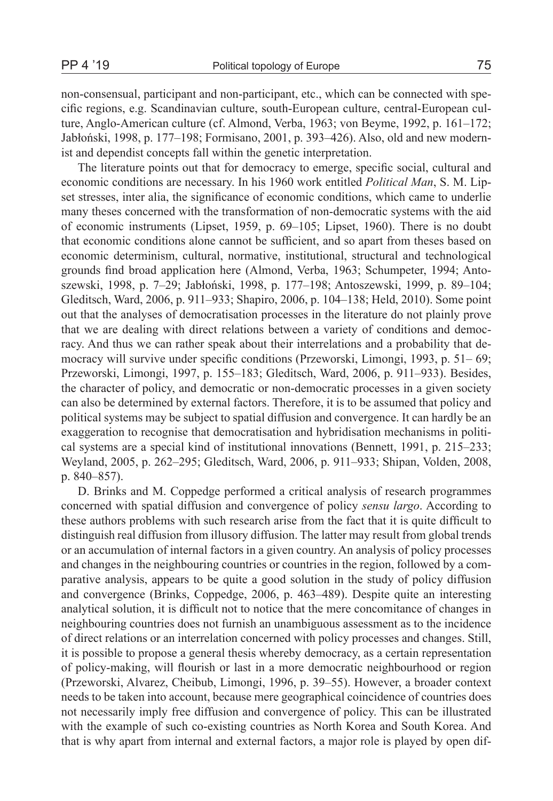non-consensual, participant and non-participant, etc., which can be connected with specific regions, e.g. Scandinavian culture, south-European culture, central-European culture, Anglo-American culture (cf. Almond, Verba, 1963; von Beyme, 1992, p. 161–172; Jabłoński, 1998, p. 177–198; Formisano, 2001, p. 393–426). Also, old and new modernist and dependist concepts fall within the genetic interpretation.

The literature points out that for democracy to emerge, specific social, cultural and economic conditions are necessary. In his 1960 work entitled *Political Man*, S. M. Lipset stresses, inter alia, the significance of economic conditions, which came to underlie many theses concerned with the transformation of non-democratic systems with the aid of economic instruments (Lipset, 1959, p. 69–105; Lipset, 1960). There is no doubt that economic conditions alone cannot be sufficient, and so apart from theses based on economic determinism, cultural, normative, institutional, structural and technological grounds find broad application here (Almond, Verba, 1963; Schumpeter, 1994; Antoszewski, 1998, p. 7–29; Jabłoński, 1998, p. 177–198; Antoszewski, 1999, p. 89–104; Gleditsch, Ward, 2006, p. 911–933; Shapiro, 2006, p. 104–138; Held, 2010). Some point out that the analyses of democratisation processes in the literature do not plainly prove that we are dealing with direct relations between a variety of conditions and democracy. And thus we can rather speak about their interrelations and a probability that democracy will survive under specific conditions (Przeworski, Limongi, 1993, p. 51– 69; Przeworski, Limongi, 1997, p. 155–183; Gleditsch, Ward, 2006, p. 911–933). Besides, the character of policy, and democratic or non-democratic processes in a given society can also be determined by external factors. Therefore, it is to be assumed that policy and political systems may be subject to spatial diffusion and convergence. It can hardly be an exaggeration to recognise that democratisation and hybridisation mechanisms in political systems are a special kind of institutional innovations (Bennett, 1991, p. 215–233; Weyland, 2005, p. 262–295; Gleditsch, Ward, 2006, p. 911–933; Shipan, Volden, 2008, p. 840–857).

D. Brinks and M. Coppedge performed a critical analysis of research programmes concerned with spatial diffusion and convergence of policy *sensu largo*. According to these authors problems with such research arise from the fact that it is quite difficult to distinguish real diffusion from illusory diffusion. The latter may result from global trends or an accumulation of internal factors in a given country. An analysis of policy processes and changes in the neighbouring countries or countries in the region, followed by a comparative analysis, appears to be quite a good solution in the study of policy diffusion and convergence (Brinks, Coppedge, 2006, p. 463–489). Despite quite an interesting analytical solution, it is difficult not to notice that the mere concomitance of changes in neighbouring countries does not furnish an unambiguous assessment as to the incidence of direct relations or an interrelation concerned with policy processes and changes. Still, it is possible to propose a general thesis whereby democracy, as a certain representation of policy-making, will flourish or last in a more democratic neighbourhood or region (Przeworski, Alvarez, Cheibub, Limongi, 1996, p. 39–55). However, a broader context needs to be taken into account, because mere geographical coincidence of countries does not necessarily imply free diffusion and convergence of policy. This can be illustrated with the example of such co-existing countries as North Korea and South Korea. And that is why apart from internal and external factors, a major role is played by open dif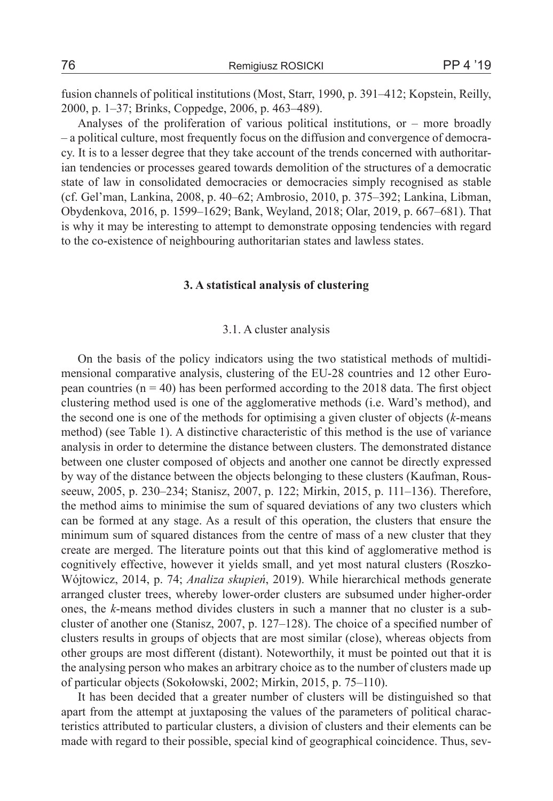fusion channels of political institutions (Most, Starr, 1990, p. 391–412; Kopstein, Reilly, 2000, p. 1–37; Brinks, Coppedge, 2006, p. 463–489).

Analyses of the proliferation of various political institutions, or – more broadly – a political culture, most frequently focus on the diffusion and convergence of democracy. It is to a lesser degree that they take account of the trends concerned with authoritarian tendencies or processes geared towards demolition of the structures of a democratic state of law in consolidated democracies or democracies simply recognised as stable (cf. Gel'man, Lankina, 2008, p. 40–62; Ambrosio, 2010, p. 375–392; Lankina, Libman, Obydenkova, 2016, p. 1599–1629; Bank, Weyland, 2018; Olar, 2019, p. 667–681). That is why it may be interesting to attempt to demonstrate opposing tendencies with regard to the co-existence of neighbouring authoritarian states and lawless states.

#### **3. A statistical analysis of clustering**

#### 3.1. A cluster analysis

On the basis of the policy indicators using the two statistical methods of multidimensional comparative analysis, clustering of the EU-28 countries and 12 other European countries  $(n = 40)$  has been performed according to the 2018 data. The first object clustering method used is one of the agglomerative methods (i.e. Ward's method), and the second one is one of the methods for optimising a given cluster of objects (*k*-means method) (see Table 1). A distinctive characteristic of this method is the use of variance analysis in order to determine the distance between clusters. The demonstrated distance between one cluster composed of objects and another one cannot be directly expressed by way of the distance between the objects belonging to these clusters (Kaufman, Rousseeuw, 2005, p. 230–234; Stanisz, 2007, p. 122; Mirkin, 2015, p. 111–136). Therefore, the method aims to minimise the sum of squared deviations of any two clusters which can be formed at any stage. As a result of this operation, the clusters that ensure the minimum sum of squared distances from the centre of mass of a new cluster that they create are merged. The literature points out that this kind of agglomerative method is cognitively effective, however it yields small, and yet most natural clusters (Roszko-Wójtowicz, 2014, p. 74; *Analiza skupień*, 2019). While hierarchical methods generate arranged cluster trees, whereby lower-order clusters are subsumed under higher-order ones, the *k*-means method divides clusters in such a manner that no cluster is a subcluster of another one (Stanisz, 2007, p. 127–128). The choice of a specified number of clusters results in groups of objects that are most similar (close), whereas objects from other groups are most different (distant). Noteworthily, it must be pointed out that it is the analysing person who makes an arbitrary choice as to the number of clusters made up of particular objects (Sokołowski, 2002; Mirkin, 2015, p. 75–110).

It has been decided that a greater number of clusters will be distinguished so that apart from the attempt at juxtaposing the values of the parameters of political characteristics attributed to particular clusters, a division of clusters and their elements can be made with regard to their possible, special kind of geographical coincidence. Thus, sev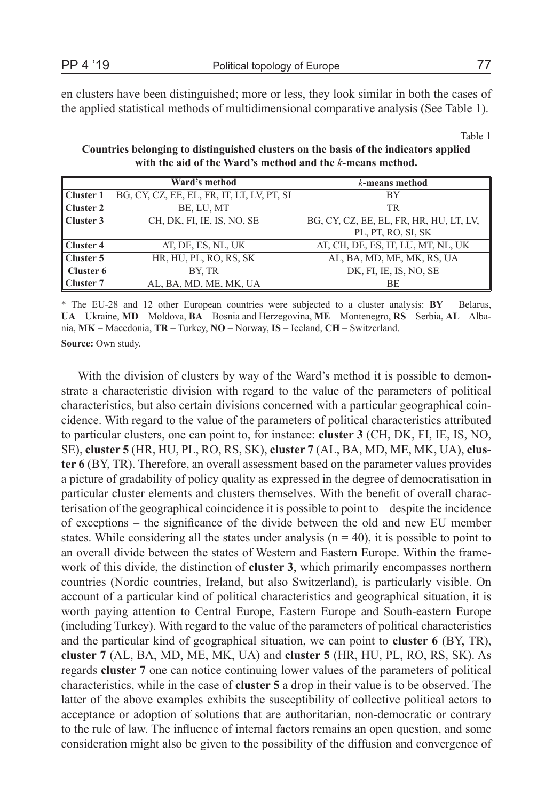en clusters have been distinguished; more or less, they look similar in both the cases of the applied statistical methods of multidimensional comparative analysis (See Table 1).

Table 1

**Countries belonging to distinguished clusters on the basis of the indicators applied with the aid of the Ward's method and the** *k***-means method.**

|                   | Ward's method                              | $k$ -means method                       |
|-------------------|--------------------------------------------|-----------------------------------------|
| Cluster 1         | BG, CY, CZ, EE, EL, FR, IT, LT, LV, PT, SI | BY                                      |
| Cluster 2         | BE, LU, MT                                 | TR                                      |
| $\vert$ Cluster 3 | CH, DK, FI, IE, IS, NO, SE                 | BG, CY, CZ, EE, EL, FR, HR, HU, LT, LV, |
|                   |                                            | PL, PT, RO, SI, SK                      |
| Cluster 4         | AT, DE, ES, NL, UK                         | AT, CH, DE, ES, IT, LU, MT, NL, UK      |
| Cluster 5         | HR, HU, PL, RO, RS, SK                     | AL, BA, MD, ME, MK, RS, UA              |
| $\vert$ Cluster 6 | BY, TR                                     | DK, FI, IE, IS, NO, SE                  |
| Cluster 7         | AL, BA, MD, ME, MK, UA                     | ВE                                      |

\* The EU-28 and 12 other European countries were subjected to a cluster analysis: **BY** – Belarus, **UA** – Ukraine, **MD** – Moldova, **BA** – Bosnia and Herzegovina, **ME** – Montenegro, **RS** – Serbia, **AL** – Albania, **MK** – Macedonia, **TR** – Turkey, **NO** – Norway, **IS** – Iceland, **CH** – Switzerland.

**Source:** Own study.

With the division of clusters by way of the Ward's method it is possible to demonstrate a characteristic division with regard to the value of the parameters of political characteristics, but also certain divisions concerned with a particular geographical coincidence. With regard to the value of the parameters of political characteristics attributed to particular clusters, one can point to, for instance: **cluster 3** (CH, DK, FI, IE, IS, NO, SE), **cluster 5** (HR, HU, PL, RO, RS, SK), **cluster 7** (AL, BA, MD, ME, MK, UA), **cluster 6** (BY, TR). Therefore, an overall assessment based on the parameter values provides a picture of gradability of policy quality as expressed in the degree of democratisation in particular cluster elements and clusters themselves. With the benefit of overall characterisation of the geographical coincidence it is possible to point to – despite the incidence of exceptions – the significance of the divide between the old and new EU member states. While considering all the states under analysis ( $n = 40$ ), it is possible to point to an overall divide between the states of Western and Eastern Europe. Within the framework of this divide, the distinction of **cluster 3**, which primarily encompasses northern countries (Nordic countries, Ireland, but also Switzerland), is particularly visible. On account of a particular kind of political characteristics and geographical situation, it is worth paying attention to Central Europe, Eastern Europe and South-eastern Europe (including Turkey). With regard to the value of the parameters of political characteristics and the particular kind of geographical situation, we can point to **cluster 6** (BY, TR), **cluster 7** (AL, BA, MD, ME, MK, UA) and **cluster 5** (HR, HU, PL, RO, RS, SK). As regards **cluster 7** one can notice continuing lower values of the parameters of political characteristics, while in the case of **cluster 5** a drop in their value is to be observed. The latter of the above examples exhibits the susceptibility of collective political actors to acceptance or adoption of solutions that are authoritarian, non-democratic or contrary to the rule of law. The influence of internal factors remains an open question, and some consideration might also be given to the possibility of the diffusion and convergence of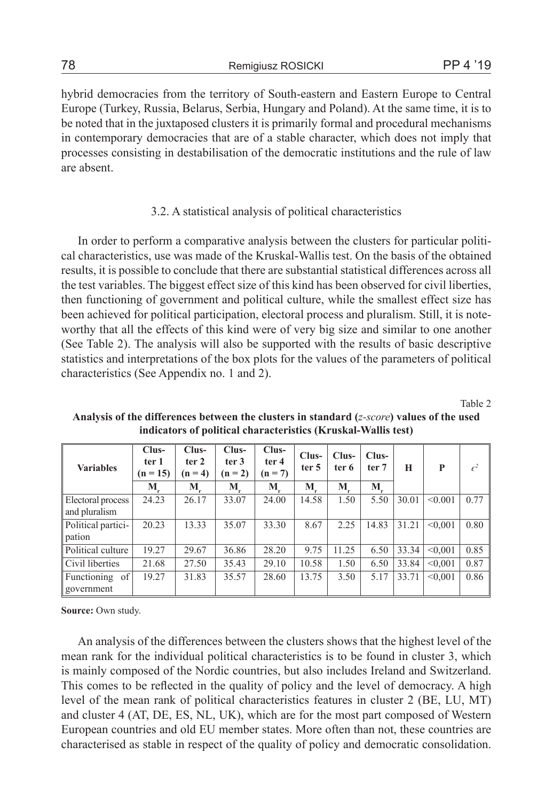hybrid democracies from the territory of South-eastern and Eastern Europe to Central Europe (Turkey, Russia, Belarus, Serbia, Hungary and Poland). At the same time, it is to be noted that in the juxtaposed clusters it is primarily formal and procedural mechanisms in contemporary democracies that are of a stable character, which does not imply that processes consisting in destabilisation of the democratic institutions and the rule of law are absent.

### 3.2. A statistical analysis of political characteristics

In order to perform a comparative analysis between the clusters for particular political characteristics, use was made of the Kruskal-Wallis test. On the basis of the obtained results, it is possible to conclude that there are substantial statistical differences across all the test variables. The biggest effect size of this kind has been observed for civil liberties, then functioning of government and political culture, while the smallest effect size has been achieved for political participation, electoral process and pluralism. Still, it is noteworthy that all the effects of this kind were of very big size and similar to one another (See Table 2). The analysis will also be supported with the results of basic descriptive statistics and interpretations of the box plots for the values of the parameters of political characteristics (See Appendix no. 1 and 2).

Table 2

| <b>Variables</b>                   | $Clus-$<br>ter 1<br>$(n = 15)$ | $Clus-$<br>ter <sub>2</sub><br>$(n = 4)$ | $Clus-$<br>ter 3<br>$(n=2)$ | $Clus-$<br>ter 4<br>$(n = 7)$ | Clus-<br>ter <sub>5</sub> | Clus-<br>ter 6 | Clus-<br>ter 7 | H     | P       | $\epsilon^2$ |
|------------------------------------|--------------------------------|------------------------------------------|-----------------------------|-------------------------------|---------------------------|----------------|----------------|-------|---------|--------------|
|                                    | М                              | М                                        | М                           | М                             | M                         | M              | M              |       |         |              |
| Electoral process<br>and pluralism | 24.23                          | 26.17                                    | 33.07                       | 24.00                         | 14.58                     | 1.50           | 5.50           | 30.01 | < 0.001 | 0.77         |
| Political partici-<br>pation       | 20.23                          | 13.33                                    | 35.07                       | 33.30                         | 8.67                      | 2.25           | 14.83          | 31.21 | < 0.001 | 0.80         |
| Political culture                  | 19.27                          | 29.67                                    | 36.86                       | 28.20                         | 9.75                      | 11.25          | 6.50           | 33.34 | < 0.001 | 0.85         |
| Civil liberties                    | 21.68                          | 27.50                                    | 35.43                       | 29.10                         | 10.58                     | 1.50           | 6.50           | 33.84 | < 0.001 | 0.87         |
| Functioning of<br>government       | 19.27                          | 31.83                                    | 35.57                       | 28.60                         | 13.75                     | 3.50           | 5.17           | 33.71 | < 0.001 | 0.86         |

**Analysis of the differences between the clusters in standard (***z-score***) values of the used indicators of political characteristics (Kruskal-Wallis test)**

**Source:** Own study.

An analysis of the differences between the clusters shows that the highest level of the mean rank for the individual political characteristics is to be found in cluster 3, which is mainly composed of the Nordic countries, but also includes Ireland and Switzerland. This comes to be reflected in the quality of policy and the level of democracy. A high level of the mean rank of political characteristics features in cluster 2 (BE, LU, MT) and cluster 4 (AT, DE, ES, NL, UK), which are for the most part composed of Western European countries and old EU member states. More often than not, these countries are characterised as stable in respect of the quality of policy and democratic consolidation.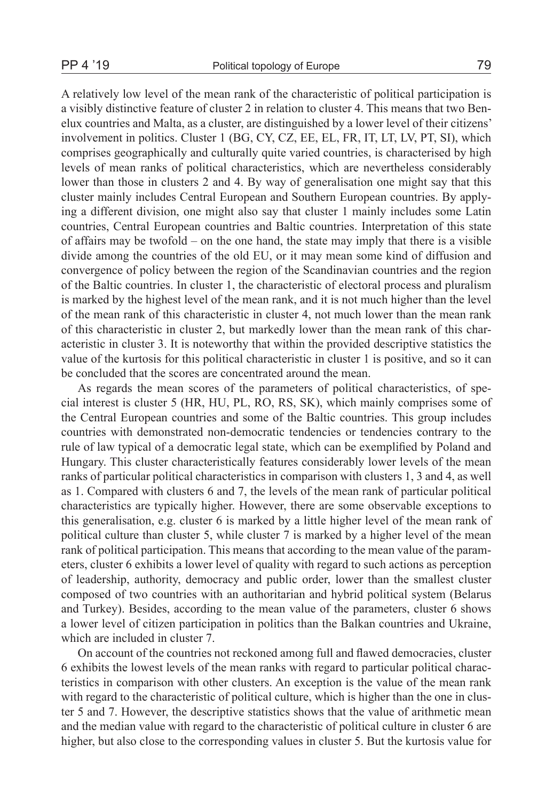A relatively low level of the mean rank of the characteristic of political participation is a visibly distinctive feature of cluster 2 in relation to cluster 4. This means that two Benelux countries and Malta, as a cluster, are distinguished by a lower level of their citizens' involvement in politics. Cluster 1 (BG, CY, CZ, EE, EL, FR, IT, LT, LV, PT, SI), which comprises geographically and culturally quite varied countries, is characterised by high levels of mean ranks of political characteristics, which are nevertheless considerably lower than those in clusters 2 and 4. By way of generalisation one might say that this cluster mainly includes Central European and Southern European countries. By applying a different division, one might also say that cluster 1 mainly includes some Latin countries, Central European countries and Baltic countries. Interpretation of this state of affairs may be twofold – on the one hand, the state may imply that there is a visible divide among the countries of the old EU, or it may mean some kind of diffusion and convergence of policy between the region of the Scandinavian countries and the region of the Baltic countries. In cluster 1, the characteristic of electoral process and pluralism is marked by the highest level of the mean rank, and it is not much higher than the level of the mean rank of this characteristic in cluster 4, not much lower than the mean rank of this characteristic in cluster 2, but markedly lower than the mean rank of this characteristic in cluster 3. It is noteworthy that within the provided descriptive statistics the value of the kurtosis for this political characteristic in cluster 1 is positive, and so it can be concluded that the scores are concentrated around the mean.

As regards the mean scores of the parameters of political characteristics, of special interest is cluster 5 (HR, HU, PL, RO, RS, SK), which mainly comprises some of the Central European countries and some of the Baltic countries. This group includes countries with demonstrated non-democratic tendencies or tendencies contrary to the rule of law typical of a democratic legal state, which can be exemplified by Poland and Hungary. This cluster characteristically features considerably lower levels of the mean ranks of particular political characteristics in comparison with clusters 1, 3 and 4, as well as 1. Compared with clusters 6 and 7, the levels of the mean rank of particular political characteristics are typically higher. However, there are some observable exceptions to this generalisation, e.g. cluster 6 is marked by a little higher level of the mean rank of political culture than cluster 5, while cluster 7 is marked by a higher level of the mean rank of political participation. This means that according to the mean value of the parameters, cluster 6 exhibits a lower level of quality with regard to such actions as perception of leadership, authority, democracy and public order, lower than the smallest cluster composed of two countries with an authoritarian and hybrid political system (Belarus and Turkey). Besides, according to the mean value of the parameters, cluster 6 shows a lower level of citizen participation in politics than the Balkan countries and Ukraine, which are included in cluster 7.

On account of the countries not reckoned among full and flawed democracies, cluster 6 exhibits the lowest levels of the mean ranks with regard to particular political characteristics in comparison with other clusters. An exception is the value of the mean rank with regard to the characteristic of political culture, which is higher than the one in cluster 5 and 7. However, the descriptive statistics shows that the value of arithmetic mean and the median value with regard to the characteristic of political culture in cluster 6 are higher, but also close to the corresponding values in cluster 5. But the kurtosis value for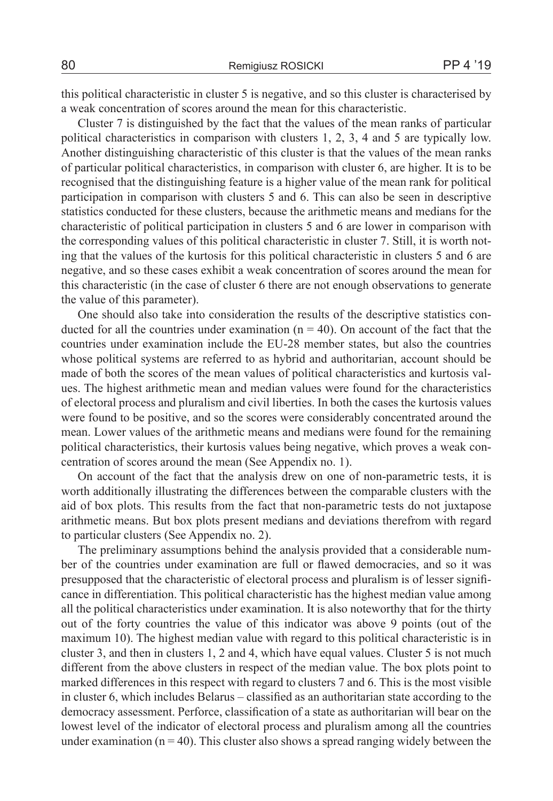this political characteristic in cluster 5 is negative, and so this cluster is characterised by a weak concentration of scores around the mean for this characteristic.

Cluster 7 is distinguished by the fact that the values of the mean ranks of particular political characteristics in comparison with clusters 1, 2, 3, 4 and 5 are typically low. Another distinguishing characteristic of this cluster is that the values of the mean ranks of particular political characteristics, in comparison with cluster 6, are higher. It is to be recognised that the distinguishing feature is a higher value of the mean rank for political participation in comparison with clusters 5 and 6. This can also be seen in descriptive statistics conducted for these clusters, because the arithmetic means and medians for the characteristic of political participation in clusters 5 and 6 are lower in comparison with the corresponding values of this political characteristic in cluster 7. Still, it is worth noting that the values of the kurtosis for this political characteristic in clusters 5 and 6 are negative, and so these cases exhibit a weak concentration of scores around the mean for this characteristic (in the case of cluster 6 there are not enough observations to generate the value of this parameter).

One should also take into consideration the results of the descriptive statistics conducted for all the countries under examination  $(n = 40)$ . On account of the fact that the countries under examination include the EU-28 member states, but also the countries whose political systems are referred to as hybrid and authoritarian, account should be made of both the scores of the mean values of political characteristics and kurtosis values. The highest arithmetic mean and median values were found for the characteristics of electoral process and pluralism and civil liberties. In both the cases the kurtosis values were found to be positive, and so the scores were considerably concentrated around the mean. Lower values of the arithmetic means and medians were found for the remaining political characteristics, their kurtosis values being negative, which proves a weak concentration of scores around the mean (See Appendix no. 1).

On account of the fact that the analysis drew on one of non-parametric tests, it is worth additionally illustrating the differences between the comparable clusters with the aid of box plots. This results from the fact that non-parametric tests do not juxtapose arithmetic means. But box plots present medians and deviations therefrom with regard to particular clusters (See Appendix no. 2).

The preliminary assumptions behind the analysis provided that a considerable number of the countries under examination are full or flawed democracies, and so it was presupposed that the characteristic of electoral process and pluralism is of lesser significance in differentiation. This political characteristic has the highest median value among all the political characteristics under examination. It is also noteworthy that for the thirty out of the forty countries the value of this indicator was above 9 points (out of the maximum 10). The highest median value with regard to this political characteristic is in cluster 3, and then in clusters 1, 2 and 4, which have equal values. Cluster 5 is not much different from the above clusters in respect of the median value. The box plots point to marked differences in this respect with regard to clusters 7 and 6. This is the most visible in cluster 6, which includes Belarus – classified as an authoritarian state according to the democracy assessment. Perforce, classification of a state as authoritarian will bear on the lowest level of the indicator of electoral process and pluralism among all the countries under examination  $(n = 40)$ . This cluster also shows a spread ranging widely between the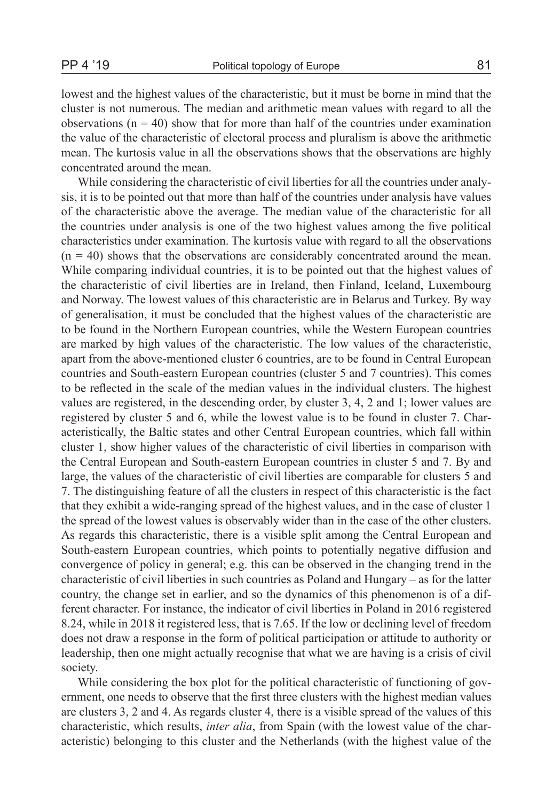lowest and the highest values of the characteristic, but it must be borne in mind that the cluster is not numerous. The median and arithmetic mean values with regard to all the observations ( $n = 40$ ) show that for more than half of the countries under examination the value of the characteristic of electoral process and pluralism is above the arithmetic mean. The kurtosis value in all the observations shows that the observations are highly concentrated around the mean.

While considering the characteristic of civil liberties for all the countries under analysis, it is to be pointed out that more than half of the countries under analysis have values of the characteristic above the average. The median value of the characteristic for all the countries under analysis is one of the two highest values among the five political characteristics under examination. The kurtosis value with regard to all the observations  $(n = 40)$  shows that the observations are considerably concentrated around the mean. While comparing individual countries, it is to be pointed out that the highest values of the characteristic of civil liberties are in Ireland, then Finland, Iceland, Luxembourg and Norway. The lowest values of this characteristic are in Belarus and Turkey. By way of generalisation, it must be concluded that the highest values of the characteristic are to be found in the Northern European countries, while the Western European countries are marked by high values of the characteristic. The low values of the characteristic, apart from the above-mentioned cluster 6 countries, are to be found in Central European countries and South-eastern European countries (cluster 5 and 7 countries). This comes to be reflected in the scale of the median values in the individual clusters. The highest values are registered, in the descending order, by cluster 3, 4, 2 and 1; lower values are registered by cluster 5 and 6, while the lowest value is to be found in cluster 7. Characteristically, the Baltic states and other Central European countries, which fall within cluster 1, show higher values of the characteristic of civil liberties in comparison with the Central European and South-eastern European countries in cluster 5 and 7. By and large, the values of the characteristic of civil liberties are comparable for clusters 5 and 7. The distinguishing feature of all the clusters in respect of this characteristic is the fact that they exhibit a wide-ranging spread of the highest values, and in the case of cluster 1 the spread of the lowest values is observably wider than in the case of the other clusters. As regards this characteristic, there is a visible split among the Central European and South-eastern European countries, which points to potentially negative diffusion and convergence of policy in general; e.g. this can be observed in the changing trend in the characteristic of civil liberties in such countries as Poland and Hungary – as for the latter country, the change set in earlier, and so the dynamics of this phenomenon is of a different character. For instance, the indicator of civil liberties in Poland in 2016 registered 8.24, while in 2018 it registered less, that is 7.65. If the low or declining level of freedom does not draw a response in the form of political participation or attitude to authority or leadership, then one might actually recognise that what we are having is a crisis of civil society.

While considering the box plot for the political characteristic of functioning of government, one needs to observe that the first three clusters with the highest median values are clusters 3, 2 and 4. As regards cluster 4, there is a visible spread of the values of this characteristic, which results, *inter alia*, from Spain (with the lowest value of the characteristic) belonging to this cluster and the Netherlands (with the highest value of the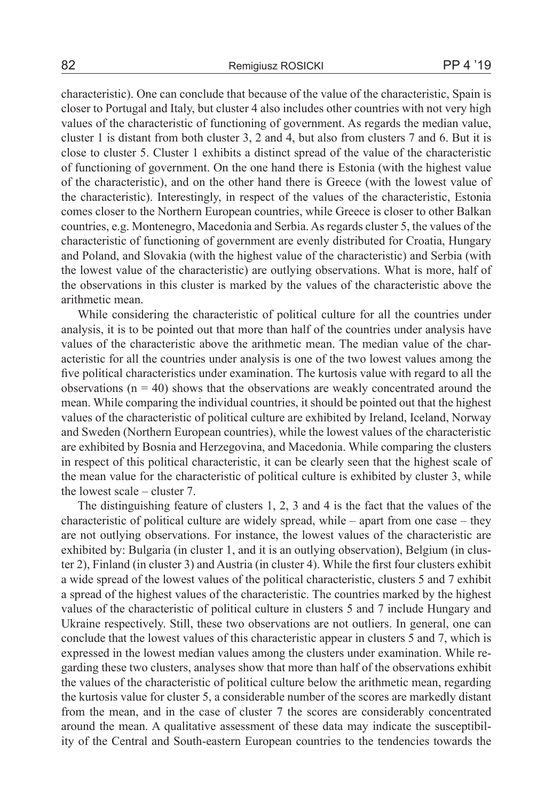characteristic). One can conclude that because of the value of the characteristic, Spain is closer to Portugal and Italy, but cluster 4 also includes other countries with not very high values of the characteristic of functioning of government. As regards the median value, cluster 1 is distant from both cluster 3, 2 and 4, but also from clusters 7 and 6. But it is close to cluster 5. Cluster 1 exhibits a distinct spread of the value of the characteristic of functioning of government. On the one hand there is Estonia (with the highest value of the characteristic), and on the other hand there is Greece (with the lowest value of the characteristic). Interestingly, in respect of the values of the characteristic, Estonia comes closer to the Northern European countries, while Greece is closer to other Balkan countries, e.g. Montenegro, Macedonia and Serbia. As regards cluster 5, the values of the characteristic of functioning of government are evenly distributed for Croatia, Hungary and Poland, and Slovakia (with the highest value of the characteristic) and Serbia (with the lowest value of the characteristic) are outlying observations. What is more, half of the observations in this cluster is marked by the values of the characteristic above the arithmetic mean.

While considering the characteristic of political culture for all the countries under analysis, it is to be pointed out that more than half of the countries under analysis have values of the characteristic above the arithmetic mean. The median value of the characteristic for all the countries under analysis is one of the two lowest values among the five political characteristics under examination. The kurtosis value with regard to all the observations  $(n = 40)$  shows that the observations are weakly concentrated around the mean. While comparing the individual countries, it should be pointed out that the highest values of the characteristic of political culture are exhibited by Ireland, Iceland, Norway and Sweden (Northern European countries), while the lowest values of the characteristic are exhibited by Bosnia and Herzegovina, and Macedonia. While comparing the clusters in respect of this political characteristic, it can be clearly seen that the highest scale of the mean value for the characteristic of political culture is exhibited by cluster 3, while the lowest scale – cluster 7.

The distinguishing feature of clusters 1, 2, 3 and 4 is the fact that the values of the characteristic of political culture are widely spread, while – apart from one case – they are not outlying observations. For instance, the lowest values of the characteristic are exhibited by: Bulgaria (in cluster 1, and it is an outlying observation), Belgium (in cluster 2), Finland (in cluster 3) and Austria (in cluster 4). While the first four clusters exhibit a wide spread of the lowest values of the political characteristic, clusters 5 and 7 exhibit a spread of the highest values of the characteristic. The countries marked by the highest values of the characteristic of political culture in clusters 5 and 7 include Hungary and Ukraine respectively. Still, these two observations are not outliers. In general, one can conclude that the lowest values of this characteristic appear in clusters 5 and 7, which is expressed in the lowest median values among the clusters under examination. While regarding these two clusters, analyses show that more than half of the observations exhibit the values of the characteristic of political culture below the arithmetic mean, regarding the kurtosis value for cluster 5, a considerable number of the scores are markedly distant from the mean, and in the case of cluster 7 the scores are considerably concentrated around the mean. A qualitative assessment of these data may indicate the susceptibility of the Central and South-eastern European countries to the tendencies towards the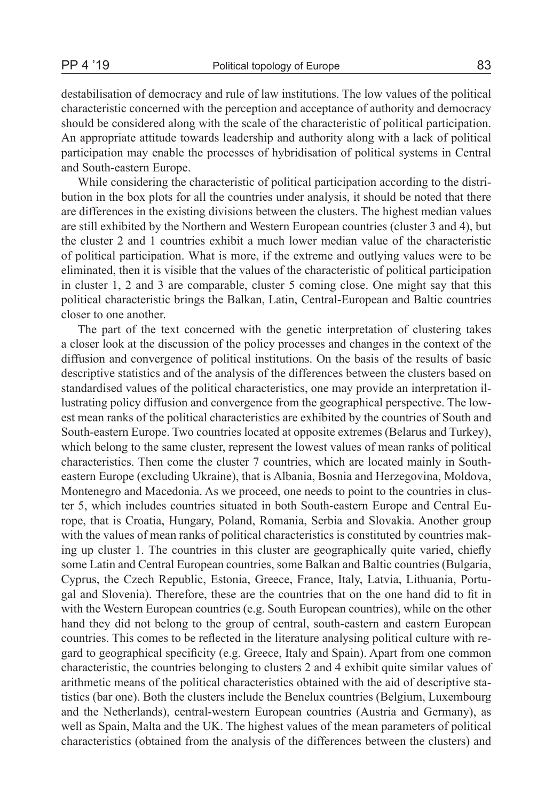destabilisation of democracy and rule of law institutions. The low values of the political characteristic concerned with the perception and acceptance of authority and democracy should be considered along with the scale of the characteristic of political participation. An appropriate attitude towards leadership and authority along with a lack of political participation may enable the processes of hybridisation of political systems in Central and South-eastern Europe.

While considering the characteristic of political participation according to the distribution in the box plots for all the countries under analysis, it should be noted that there are differences in the existing divisions between the clusters. The highest median values are still exhibited by the Northern and Western European countries (cluster 3 and 4), but the cluster 2 and 1 countries exhibit a much lower median value of the characteristic of political participation. What is more, if the extreme and outlying values were to be eliminated, then it is visible that the values of the characteristic of political participation in cluster 1, 2 and 3 are comparable, cluster 5 coming close. One might say that this political characteristic brings the Balkan, Latin, Central-European and Baltic countries closer to one another.

The part of the text concerned with the genetic interpretation of clustering takes a closer look at the discussion of the policy processes and changes in the context of the diffusion and convergence of political institutions. On the basis of the results of basic descriptive statistics and of the analysis of the differences between the clusters based on standardised values of the political characteristics, one may provide an interpretation illustrating policy diffusion and convergence from the geographical perspective. The lowest mean ranks of the political characteristics are exhibited by the countries of South and South-eastern Europe. Two countries located at opposite extremes (Belarus and Turkey), which belong to the same cluster, represent the lowest values of mean ranks of political characteristics. Then come the cluster 7 countries, which are located mainly in Southeastern Europe (excluding Ukraine), that is Albania, Bosnia and Herzegovina, Moldova, Montenegro and Macedonia. As we proceed, one needs to point to the countries in cluster 5, which includes countries situated in both South-eastern Europe and Central Europe, that is Croatia, Hungary, Poland, Romania, Serbia and Slovakia. Another group with the values of mean ranks of political characteristics is constituted by countries making up cluster 1. The countries in this cluster are geographically quite varied, chiefly some Latin and Central European countries, some Balkan and Baltic countries (Bulgaria, Cyprus, the Czech Republic, Estonia, Greece, France, Italy, Latvia, Lithuania, Portugal and Slovenia). Therefore, these are the countries that on the one hand did to fit in with the Western European countries (e.g. South European countries), while on the other hand they did not belong to the group of central, south-eastern and eastern European countries. This comes to be reflected in the literature analysing political culture with regard to geographical specificity (e.g. Greece, Italy and Spain). Apart from one common characteristic, the countries belonging to clusters 2 and 4 exhibit quite similar values of arithmetic means of the political characteristics obtained with the aid of descriptive statistics (bar one). Both the clusters include the Benelux countries (Belgium, Luxembourg and the Netherlands), central-western European countries (Austria and Germany), as well as Spain, Malta and the UK. The highest values of the mean parameters of political characteristics (obtained from the analysis of the differences between the clusters) and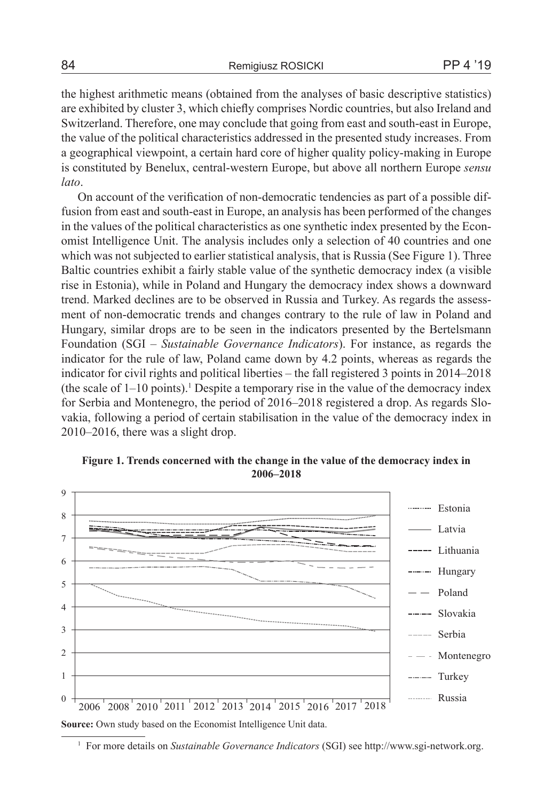the highest arithmetic means (obtained from the analyses of basic descriptive statistics) are exhibited by cluster 3, which chiefly comprises Nordic countries, but also Ireland and Switzerland. Therefore, one may conclude that going from east and south-east in Europe, the value of the political characteristics addressed in the presented study increases. From a geographical viewpoint, a certain hard core of higher quality policy-making in Europe is constituted by Benelux, central-western Europe, but above all northern Europe *sensu lato*.

On account of the verification of non-democratic tendencies as part of a possible diffusion from east and south-east in Europe, an analysis has been performed of the changes in the values of the political characteristics as one synthetic index presented by the Economist Intelligence Unit. The analysis includes only a selection of 40 countries and one which was not subjected to earlier statistical analysis, that is Russia (See Figure 1). Three Baltic countries exhibit a fairly stable value of the synthetic democracy index (a visible rise in Estonia), while in Poland and Hungary the democracy index shows a downward trend. Marked declines are to be observed in Russia and Turkey. As regards the assessment of non-democratic trends and changes contrary to the rule of law in Poland and Hungary, similar drops are to be seen in the indicators presented by the Bertelsmann Foundation (SGI – *Sustainable Governance Indicators*). For instance, as regards the indicator for the rule of law, Poland came down by 4.2 points, whereas as regards the indicator for civil rights and political liberties – the fall registered 3 points in 2014–2018  $($ the scale of  $1-10$  points $).<sup>1</sup>$  Despite a temporary rise in the value of the democracy index for Serbia and Montenegro, the period of 2016–2018 registered a drop. As regards Slovakia, following a period of certain stabilisation in the value of the democracy index in 2010–2016, there was a slight drop.



**Figure 1. Trends concerned with the change in the value of the democracy index in 2006–2018**

**Source:** Own study based on the Economist Intelligence Unit data.

<sup>1</sup> For more details on *Sustainable Governance Indicators* (SGI) see http://www.sgi-network.org.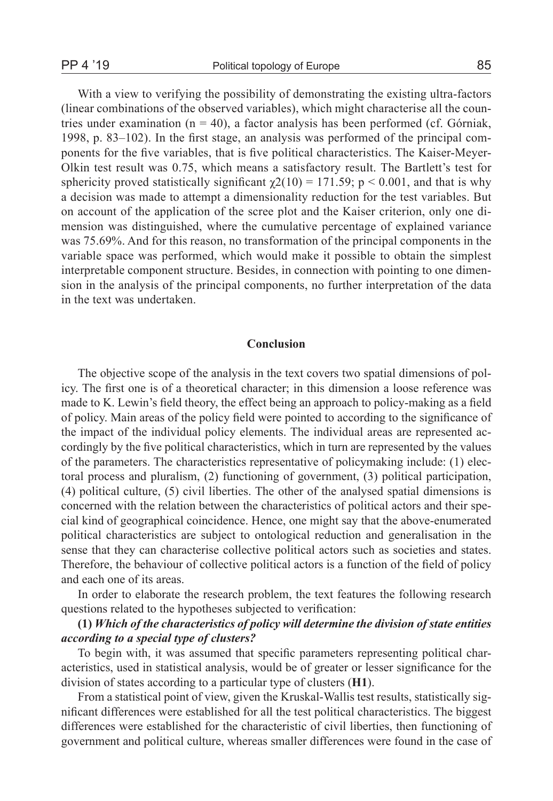With a view to verifying the possibility of demonstrating the existing ultra-factors (linear combinations of the observed variables), which might characterise all the countries under examination ( $n = 40$ ), a factor analysis has been performed (cf. Górniak, 1998, p. 83–102). In the first stage, an analysis was performed of the principal components for the five variables, that is five political characteristics. The Kaiser-Meyer-Olkin test result was 0.75, which means a satisfactory result. The Bartlett's test for sphericity proved statistically significant  $\chi$ 2(10) = 171.59; p < 0.001, and that is why a decision was made to attempt a dimensionality reduction for the test variables. But on account of the application of the scree plot and the Kaiser criterion, only one dimension was distinguished, where the cumulative percentage of explained variance was 75.69%. And for this reason, no transformation of the principal components in the variable space was performed, which would make it possible to obtain the simplest interpretable component structure. Besides, in connection with pointing to one dimension in the analysis of the principal components, no further interpretation of the data in the text was undertaken.

#### **Conclusion**

The objective scope of the analysis in the text covers two spatial dimensions of policy. The first one is of a theoretical character; in this dimension a loose reference was made to K. Lewin's field theory, the effect being an approach to policy-making as a field of policy. Main areas of the policy field were pointed to according to the significance of the impact of the individual policy elements. The individual areas are represented accordingly by the five political characteristics, which in turn are represented by the values of the parameters. The characteristics representative of policymaking include: (1) electoral process and pluralism, (2) functioning of government, (3) political participation, (4) political culture, (5) civil liberties. The other of the analysed spatial dimensions is concerned with the relation between the characteristics of political actors and their special kind of geographical coincidence. Hence, one might say that the above-enumerated political characteristics are subject to ontological reduction and generalisation in the sense that they can characterise collective political actors such as societies and states. Therefore, the behaviour of collective political actors is a function of the field of policy and each one of its areas.

In order to elaborate the research problem, the text features the following research questions related to the hypotheses subjected to verification:

### **(1)** *Which of the characteristics of policy will determine the division of state entities according to a special type of clusters?*

To begin with, it was assumed that specific parameters representing political characteristics, used in statistical analysis, would be of greater or lesser significance for the division of states according to a particular type of clusters (**H1**).

From a statistical point of view, given the Kruskal-Wallis test results, statistically significant differences were established for all the test political characteristics. The biggest differences were established for the characteristic of civil liberties, then functioning of government and political culture, whereas smaller differences were found in the case of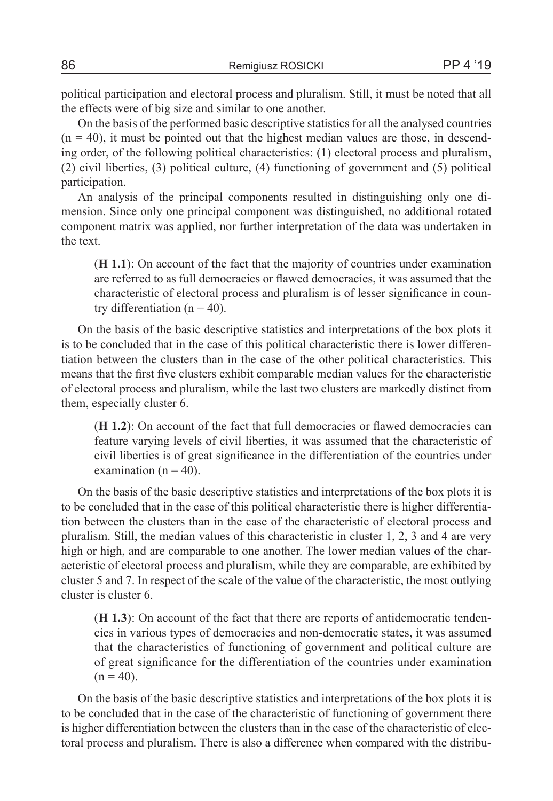political participation and electoral process and pluralism. Still, it must be noted that all the effects were of big size and similar to one another.

On the basis of the performed basic descriptive statistics for all the analysed countries  $(n = 40)$ , it must be pointed out that the highest median values are those, in descending order, of the following political characteristics: (1) electoral process and pluralism, (2) civil liberties, (3) political culture, (4) functioning of government and (5) political participation.

An analysis of the principal components resulted in distinguishing only one dimension. Since only one principal component was distinguished, no additional rotated component matrix was applied, nor further interpretation of the data was undertaken in the text.

(**H 1.1**): On account of the fact that the majority of countries under examination are referred to as full democracies or flawed democracies, it was assumed that the characteristic of electoral process and pluralism is of lesser significance in country differentiation ( $n = 40$ ).

On the basis of the basic descriptive statistics and interpretations of the box plots it is to be concluded that in the case of this political characteristic there is lower differentiation between the clusters than in the case of the other political characteristics. This means that the first five clusters exhibit comparable median values for the characteristic of electoral process and pluralism, while the last two clusters are markedly distinct from them, especially cluster 6.

(**H 1.2**): On account of the fact that full democracies or flawed democracies can feature varying levels of civil liberties, it was assumed that the characteristic of civil liberties is of great significance in the differentiation of the countries under examination ( $n = 40$ ).

On the basis of the basic descriptive statistics and interpretations of the box plots it is to be concluded that in the case of this political characteristic there is higher differentiation between the clusters than in the case of the characteristic of electoral process and pluralism. Still, the median values of this characteristic in cluster 1, 2, 3 and 4 are very high or high, and are comparable to one another. The lower median values of the characteristic of electoral process and pluralism, while they are comparable, are exhibited by cluster 5 and 7. In respect of the scale of the value of the characteristic, the most outlying cluster is cluster 6.

(**H 1.3**): On account of the fact that there are reports of antidemocratic tendencies in various types of democracies and non-democratic states, it was assumed that the characteristics of functioning of government and political culture are of great significance for the differentiation of the countries under examination  $(n = 40)$ .

On the basis of the basic descriptive statistics and interpretations of the box plots it is to be concluded that in the case of the characteristic of functioning of government there is higher differentiation between the clusters than in the case of the characteristic of electoral process and pluralism. There is also a difference when compared with the distribu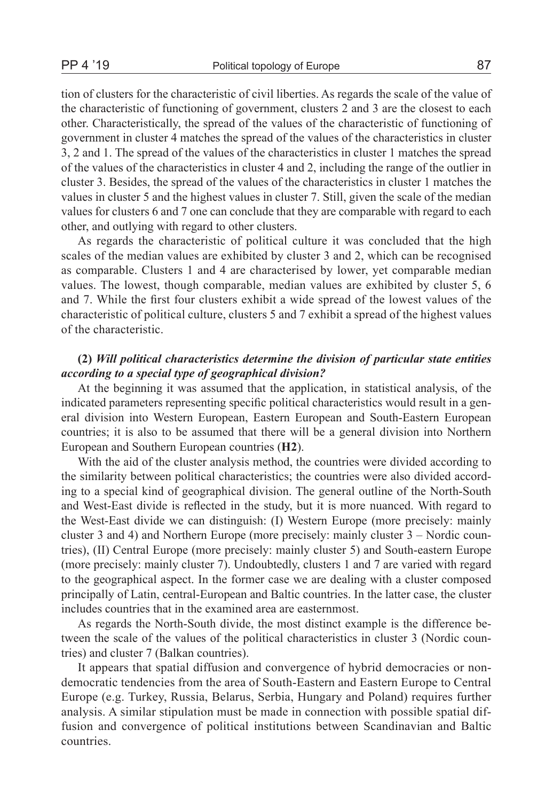tion of clusters for the characteristic of civil liberties. As regards the scale of the value of the characteristic of functioning of government, clusters 2 and 3 are the closest to each other. Characteristically, the spread of the values of the characteristic of functioning of government in cluster 4 matches the spread of the values of the characteristics in cluster 3, 2 and 1. The spread of the values of the characteristics in cluster 1 matches the spread of the values of the characteristics in cluster 4 and 2, including the range of the outlier in cluster 3. Besides, the spread of the values of the characteristics in cluster 1 matches the values in cluster 5 and the highest values in cluster 7. Still, given the scale of the median values for clusters 6 and 7 one can conclude that they are comparable with regard to each other, and outlying with regard to other clusters.

As regards the characteristic of political culture it was concluded that the high scales of the median values are exhibited by cluster 3 and 2, which can be recognised as comparable. Clusters 1 and 4 are characterised by lower, yet comparable median values. The lowest, though comparable, median values are exhibited by cluster 5, 6 and 7. While the first four clusters exhibit a wide spread of the lowest values of the characteristic of political culture, clusters 5 and 7 exhibit a spread of the highest values of the characteristic.

## **(2)** *Will political characteristics determine the division of particular state entities according to a special type of geographical division?*

At the beginning it was assumed that the application, in statistical analysis, of the indicated parameters representing specific political characteristics would result in a general division into Western European, Eastern European and South-Eastern European countries; it is also to be assumed that there will be a general division into Northern European and Southern European countries (**H2**).

With the aid of the cluster analysis method, the countries were divided according to the similarity between political characteristics; the countries were also divided according to a special kind of geographical division. The general outline of the North-South and West-East divide is reflected in the study, but it is more nuanced. With regard to the West-East divide we can distinguish: (I) Western Europe (more precisely: mainly cluster 3 and 4) and Northern Europe (more precisely: mainly cluster 3 – Nordic countries), (II) Central Europe (more precisely: mainly cluster 5) and South-eastern Europe (more precisely: mainly cluster 7). Undoubtedly, clusters 1 and 7 are varied with regard to the geographical aspect. In the former case we are dealing with a cluster composed principally of Latin, central-European and Baltic countries. In the latter case, the cluster includes countries that in the examined area are easternmost.

As regards the North-South divide, the most distinct example is the difference between the scale of the values of the political characteristics in cluster 3 (Nordic countries) and cluster 7 (Balkan countries).

It appears that spatial diffusion and convergence of hybrid democracies or nondemocratic tendencies from the area of South-Eastern and Eastern Europe to Central Europe (e.g. Turkey, Russia, Belarus, Serbia, Hungary and Poland) requires further analysis. A similar stipulation must be made in connection with possible spatial diffusion and convergence of political institutions between Scandinavian and Baltic countries.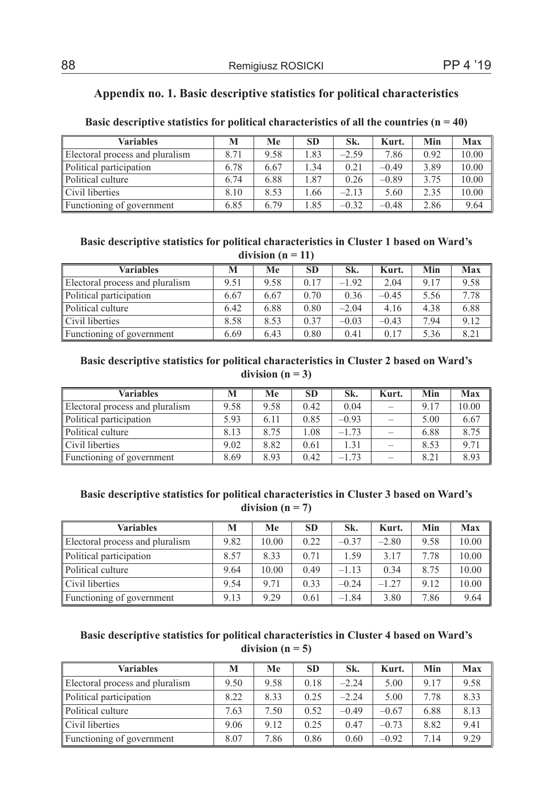## **Appendix no. 1. Basic descriptive statistics for political characteristics**

| <b>Variables</b>                | M    | Me   | <b>SD</b> | Sk.     | Kurt.   | Min  | Max   |
|---------------------------------|------|------|-----------|---------|---------|------|-------|
| Electoral process and pluralism | 8.71 | 9.58 | 1.83      | $-2.59$ | 7.86    | 0.92 | 10.00 |
| Political participation         | 6.78 | 6.67 | 34        | 0.21    | $-0.49$ | 3.89 | 10.00 |
| Political culture               | 6.74 | 6.88 | l.87      | 0.26    | $-0.89$ | 3.75 | 10.00 |
| Civil liberties                 | 8.10 | 8.53 | .66       | $-2.13$ | 5.60    | 2.35 | 10.00 |
| Functioning of government       | 6.85 | 6.79 | .85       | $-0.32$ | $-0.48$ | 2.86 | 9.64  |

### **Basic descriptive statistics for political characteristics of all the countries (n = 40)**

## **Basic descriptive statistics for political characteristics in Cluster 1 based on Ward's**

| division $(n = 11)$             |      |      |           |         |         |      |      |  |  |  |
|---------------------------------|------|------|-----------|---------|---------|------|------|--|--|--|
| <b>Variables</b>                | M    | Me   | <b>SD</b> | Sk.     | Kurt.   | Min  | Max  |  |  |  |
| Electoral process and pluralism | 9.51 | 9.58 | 0.17      | $-1.92$ | 2.04    | 9.17 | 9.58 |  |  |  |
| Political participation         | 6.67 | 6.67 | 0.70      | 0.36    | $-0.45$ | 5.56 | 7.78 |  |  |  |
| Political culture               | 6.42 | 6.88 | 0.80      | $-2.04$ | 4.16    | 4.38 | 6.88 |  |  |  |
| Civil liberties                 | 8.58 | 8.53 | 0.37      | $-0.03$ | $-0.43$ | 7.94 | 9.12 |  |  |  |
| Functioning of government       | 6.69 | 6.43 | 0.80      | 0.41    | 0.17    | 5.36 | 8.21 |  |  |  |

### **Basic descriptive statistics for political characteristics in Cluster 2 based on Ward's**  division  $(n = 3)$

| Variables                       | M    | Me   | <b>SD</b> | Sk.     | Kurt. | Min  | Max   |
|---------------------------------|------|------|-----------|---------|-------|------|-------|
| Electoral process and pluralism | 9.58 | 9.58 | 0.42      | 0.04    |       | 9.17 | 10.00 |
| Political participation         | 5.93 | 6.11 | 0.85      | $-0.93$ |       | 5.00 | 6.67  |
| Political culture               | 8.13 | 8.75 | 1.08      | $-1.73$ |       | 6.88 | 8.75  |
| Civil liberties                 | 9.02 | 8.82 | 0.61      | 1.31    |       | 8.53 | 9.71  |
| Functioning of government       | 8.69 | 8.93 | 0.42      | $-1.73$ |       | 8.21 | 8.93  |

## **Basic descriptive statistics for political characteristics in Cluster 3 based on Ward's**  division  $(n = 7)$

| <b>Variables</b>                | M    | Me    | <b>SD</b> | Sk.     | Kurt.   | Min  | Max   |
|---------------------------------|------|-------|-----------|---------|---------|------|-------|
| Electoral process and pluralism | 9.82 | 10.00 | 0.22      | $-0.37$ | $-2.80$ | 9.58 | 10.00 |
| Political participation         | 8.57 | 8.33  | 0.71      | 1.59    | 3 1 7   | 7.78 | 10.00 |
| Political culture               | 9.64 | 10.00 | 0.49      | $-113$  | 0.34    | 8.75 | 10.00 |
| Civil liberties                 | 9.54 | 9 7 1 | 0.33      | $-0.24$ | $-1.27$ | 9.12 | 10.00 |
| Functioning of government       | 9.13 | 9.29  | 0.61      | $-1.84$ | 3.80    | 7.86 | 9.64  |

### **Basic descriptive statistics for political characteristics in Cluster 4 based on Ward's**  division  $(n = 5)$

| <b>Variables</b>                | м    | Me   | <b>SD</b> | Sk.     | Kurt.   | Min  | Max  |
|---------------------------------|------|------|-----------|---------|---------|------|------|
| Electoral process and pluralism | 9.50 | 9.58 | 0.18      | $-2.24$ | 5.00    | 9.17 | 9.58 |
| Political participation         | 8.22 | 8.33 | 0.25      | $-2.24$ | 5.00    | 7.78 | 8.33 |
| Political culture               | 7.63 | 7.50 | 0.52      | $-0.49$ | $-0.67$ | 6.88 | 8.13 |
| Civil liberties                 | 9.06 | 9.12 | 0.25      | 0.47    | $-0.73$ | 8.82 | 9.41 |
| Functioning of government       | 8.07 | 7.86 | 0.86      | 0.60    | $-0.92$ | 7.14 | 9.29 |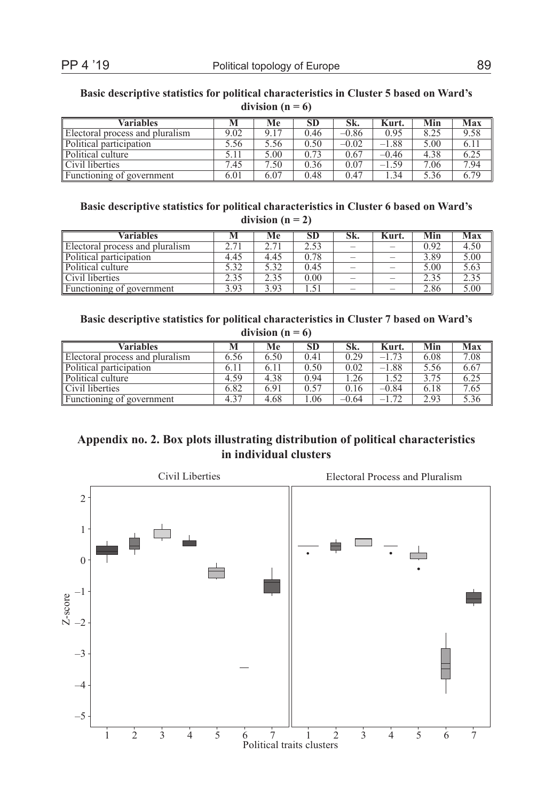#### **Basic descriptive statistics for political characteristics in Cluster 5 based on Ward's**  division  $(n = 6)$

| <b>Variables</b>                |      | Me   | SD   | Sk.     | Kurt.   | Min  | Max  |
|---------------------------------|------|------|------|---------|---------|------|------|
| Electoral process and pluralism | 9.02 | 9.17 | 0.46 | $-0.86$ | 0.95    | 8.25 | 9.58 |
| Political participation         | 5.56 | 5.56 | 0.50 | $-0.02$ | $-1.88$ | 5.00 | 6.11 |
| Political culture               |      | 5.00 | 0.73 | 0.67    | -0.46   | 4.38 | 6.25 |
| Civil liberties                 | 7.45 | 7.50 | 0.36 | 0.07    | $-1.59$ | 7.06 | 7.94 |
| Functioning of government       | 6.01 | 6.07 | 0.48 | 0.47    | .34     | 5.36 | 6.79 |

### **Basic descriptive statistics for political characteristics in Cluster 6 based on Ward's**  division  $(n = 2)$

| Variables                       |      | Мe   | SD.  | эĸ. | Kurt. | Min  | Max  |
|---------------------------------|------|------|------|-----|-------|------|------|
| Electoral process and pluralism | 271  |      | 2.53 |     |       | 0.92 | 4.50 |
| Political participation         | 4.45 | 4.45 | 0.78 |     |       | 3.89 | 5.00 |
| Political culture               | 5.32 | 5.32 | 0.45 |     |       | 5.00 | 5.63 |
| Civil liberties                 | 2.35 | 2.35 | 0.00 |     |       | 2.35 | 2.35 |
| Functioning of government       | 3.93 | 3.93 |      |     |       | 2.86 | 5.00 |

### **Basic descriptive statistics for political characteristics in Cluster 7 based on Ward's**  division  $(n = 6)$

| Variables                       |      | Мe   | SD   | Sk.     | Kurt.   | Min  | Max  |
|---------------------------------|------|------|------|---------|---------|------|------|
| Electoral process and pluralism | 6.56 | 6.50 | 0.41 | 0.29    | $-1.73$ | 6.08 | 7.08 |
| Political participation         | 6.11 | 6.11 | 0.50 | 0.02    | $-1.88$ | 5.56 | 6.67 |
| Political culture               | 4.59 | 4.38 | 0.94 | .26     | .52     | 3.75 | 6.25 |
| Civil liberties                 | 6.82 | 6.91 | 0.57 | 0.16    | $-0.84$ | 6.18 | 7.65 |
| Functioning of government       | 4.37 | 4.68 | .06  | $-0.64$ | $-1.72$ | 2.93 | 5.36 |

# **Appendix no. 2. Box plots illustrating distribution of political characteristics in individual clusters**

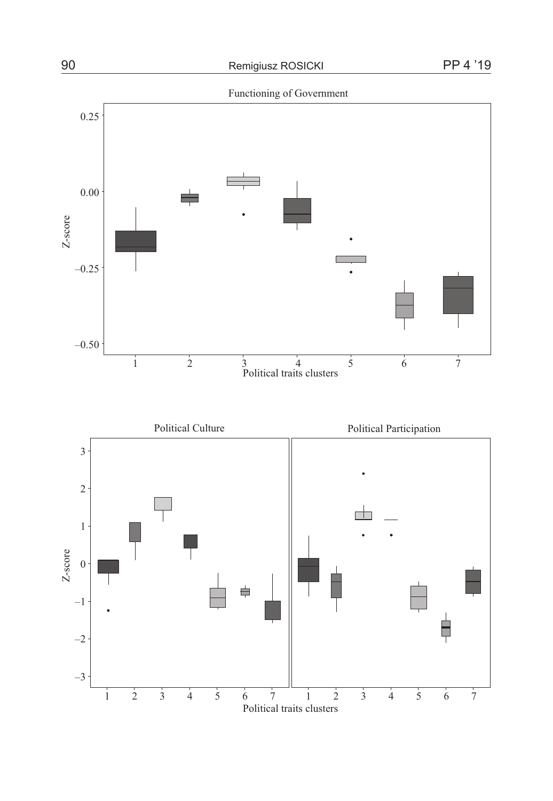

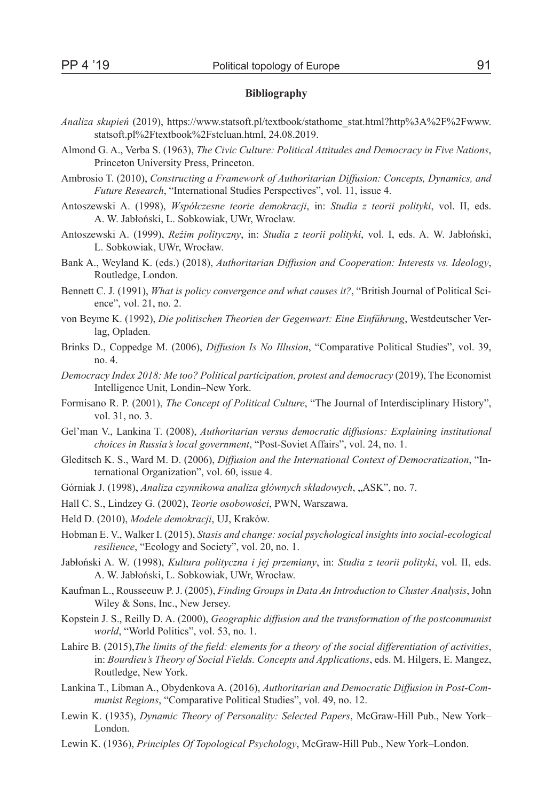#### **Bibliography**

- *Analiza skupień* (2019), https://www.statsoft.pl/textbook/stathome\_stat.html?http%3A%2F%2Fwww. statsoft.pl%2Ftextbook%2Fstcluan.html, 24.08.2019.
- Almond G. A., Verba S. (1963), *The Civic Culture: Political Attitudes and Democracy in Five Nations*, Princeton University Press, Princeton.
- Ambrosio T. (2010), *Constructing a Framework of Authoritarian Diffusion: Concepts, Dynamics, and Future Research*, "International Studies Perspectives", vol. 11, issue 4.
- Antoszewski A. (1998), *Współczesne teorie demokracji*, in: *Studia z teorii polityki*, vol. II, eds. A. W. Jabłoński, L. Sobkowiak, UWr, Wrocław.
- Antoszewski A. (1999), *Reżim polityczny*, in: *Studia z teorii polityki*, vol. I, eds. A. W. Jabłoński, L. Sobkowiak, UWr, Wrocław.
- Bank A., Weyland K. (eds.) (2018), *Authoritarian Diffusion and Cooperation: Interests vs. Ideology*, Routledge, London.
- Bennett C. J. (1991), *What is policy convergence and what causes it?*, "British Journal of Political Science", vol. 21, no. 2.
- von Beyme K. (1992), *Die politischen Theorien der Gegenwart: Eine Einführung*, Westdeutscher Verlag, Opladen.
- Brinks D., Coppedge M. (2006), *Diffusion Is No Illusion*, "Comparative Political Studies", vol. 39, no. 4.
- *Democracy Index 2018: Me too? Political participation, protest and democracy* (2019), The Economist Intelligence Unit, Londin–New York.
- Formisano R. P. (2001), *The Concept of Political Culture*, "The Journal of Interdisciplinary History", vol. 31, no. 3.
- Gel'man V., Lankina T. (2008), *Authoritarian versus democratic diffusions: Explaining institutional choices in Russia's local government*, "Post-Soviet Affairs", vol. 24, no. 1.
- Gleditsch K. S., Ward M. D. (2006), *Diffusion and the International Context of Democratization*, "International Organization", vol. 60, issue 4.
- Górniak J. (1998), *Analiza czynnikowa analiza głównych składowych*, "ASK", no. 7.
- Hall C. S., Lindzey G. (2002), *Teorie osobowości*, PWN, Warszawa.
- Held D. (2010), *Modele demokracji*, UJ, Kraków.
- Hobman E. V., Walker I. (2015), *Stasis and change: social psychological insights into social-ecological resilience*, "Ecology and Society", vol. 20, no. 1.
- Jabłoński A. W. (1998), *Kultura polityczna i jej przemiany*, in: *Studia z teorii polityki*, vol. II, eds. A. W. Jabłoński, L. Sobkowiak, UWr, Wrocław.
- Kaufman L., Rousseeuw P. J. (2005), *Finding Groups in Data An Introduction to Cluster Analysis*, John Wiley & Sons, Inc., New Jersey.
- Kopstein J. S., Reilly D. A. (2000), *Geographic diffusion and the transformation of the postcommunist world*, "World Politics", vol. 53, no. 1.
- Lahire B. (2015),*The limits of the field: elements for a theory of the social differentiation of activities*, in: *Bourdieu's Theory of Social Fields. Concepts and Applications*, eds. M. Hilgers, E. Mangez, Routledge, New York.
- Lankina T., Libman A., Obydenkova A. (2016), *Authoritarian and Democratic Diffusion in Post-Communist Regions*, "Comparative Political Studies", vol. 49, no. 12.
- Lewin K. (1935), *Dynamic Theory of Personality: Selected Papers*, McGraw-Hill Pub., New York– London.
- Lewin K. (1936), *Principles Of Topological Psychology*, McGraw-Hill Pub., New York–London.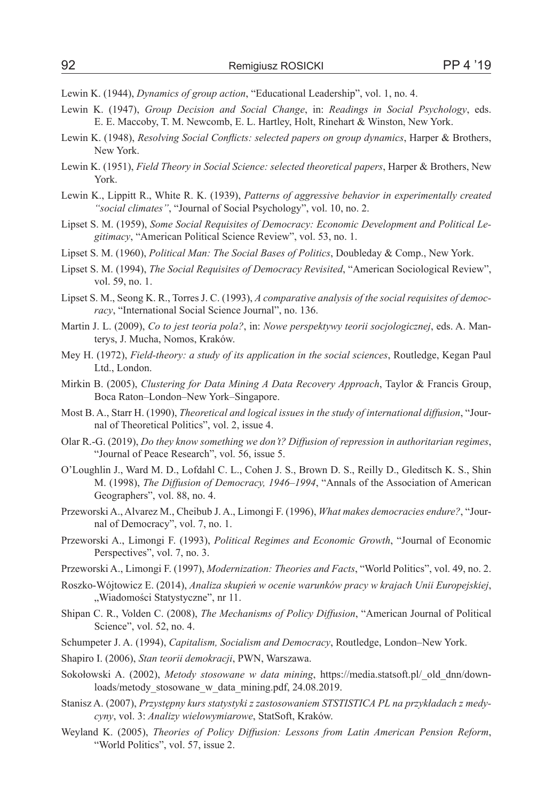- Lewin K. (1944), *Dynamics of group action*, "Educational Leadership", vol. 1, no. 4.
- Lewin K. (1947), *Group Decision and Social Change*, in: *Readings in Social Psychology*, eds. E. E. Maccoby, T. M. Newcomb, E. L. Hartley, Holt, Rinehart & Winston, New York.
- Lewin K. (1948), *Resolving Social Conflicts: selected papers on group dynamics*, Harper & Brothers, New York.
- Lewin K. (1951), *Field Theory in Social Science: selected theoretical papers*, Harper & Brothers, New York.
- Lewin K., Lippitt R., White R. K. (1939), *Patterns of aggressive behavior in experimentally created "social climates"*, "Journal of Social Psychology", vol. 10, no. 2.
- Lipset S. M. (1959), *Some Social Requisites of Democracy: Economic Development and Political Legitimacy*, "American Political Science Review", vol. 53, no. 1.
- Lipset S. M. (1960), *Political Man: The Social Bases of Politics*, Doubleday & Comp., New York.
- Lipset S. M. (1994), *The Social Requisites of Democracy Revisited*, "American Sociological Review", vol. 59, no. 1.
- Lipset S. M., Seong K. R., Torres J. C. (1993), *A comparative analysis of the social requisites of democracy*, "International Social Science Journal", no. 136.
- Martin J. L. (2009), *Co to jest teoria pola?*, in: *Nowe perspektywy teorii socjologicznej*, eds. A. Manterys, J. Mucha, Nomos, Kraków.
- Mey H. (1972), *Field-theory: a study of its application in the social sciences*, Routledge, Kegan Paul Ltd., London.
- Mirkin B. (2005), *Clustering for Data Mining A Data Recovery Approach*, Taylor & Francis Group, Boca Raton–London–New York–Singapore.
- Most B. A., Starr H. (1990), *Theoretical and logical issues in the study of international diffusion*, "Journal of Theoretical Politics", vol. 2, issue 4.
- Olar R.-G. (2019), *Do they know something we don't? Diffusion of repression in authoritarian regimes*, "Journal of Peace Research", vol. 56, issue 5.
- O'Loughlin J., Ward M. D., Lofdahl C. L., Cohen J. S., Brown D. S., Reilly D., Gleditsch K. S., Shin M. (1998), *The Diffusion of Democracy, 1946–1994*, "Annals of the Association of American Geographers", vol. 88, no. 4.
- Przeworski A., Alvarez M., Cheibub J. A., Limongi F. (1996), *What makes democracies endure?*, "Journal of Democracy", vol. 7, no. 1.
- Przeworski A., Limongi F. (1993), *Political Regimes and Economic Growth*, "Journal of Economic Perspectives", vol. 7, no. 3.
- Przeworski A., Limongi F. (1997), *Modernization: Theories and Facts*, "World Politics", vol. 49, no. 2.
- Roszko-Wójtowicz E. (2014), *Analiza skupień w ocenie warunków pracy w krajach Unii Europejskiej*, "Wiadomości Statystyczne", nr 11.
- Shipan C. R., Volden C. (2008), *The Mechanisms of Policy Diffusion*, "American Journal of Political Science", vol. 52, no. 4.
- Schumpeter J. A. (1994), *Capitalism, Socialism and Democracy*, Routledge, London–New York.
- Shapiro I. (2006), *Stan teorii demokracji*, PWN, Warszawa.
- Sokołowski A. (2002), *Metody stosowane w data mining*, https://media.statsoft.pl/\_old\_dnn/downloads/metody\_stosowane\_w\_data\_mining.pdf, 24.08.2019.
- Stanisz A. (2007), *Przystępny kurs statystyki z zastosowaniem STSTISTICA PL na przykładach z medycyny*, vol. 3: *Analizy wielowymiarowe*, StatSoft, Kraków.
- Weyland K. (2005), *Theories of Policy Diffusion: Lessons from Latin American Pension Reform*, "World Politics", vol. 57, issue 2.